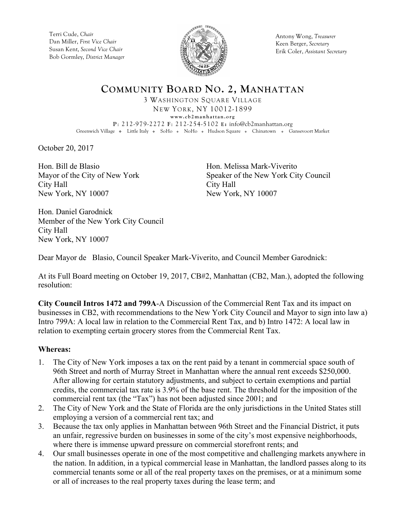Terri Cude, *Chair* Dan Miller, *First Vice Chair* Susan Kent, *Second Vice Chair* Bob Gormley, *District Manager*



Antony Wong, *Treasurer* Keen Berger, *Secretary* Erik Coler, *Assistant Secretary*

**COMMUNITY BOARD NO. 2, MANHATTAN**

3 WASHINGTON SQUARE VILLAGE NEW YORK, NY 10012-1899 **www.cb2manhattan.org P**: 212-979-2272 **F**: 212-254-5102 **E:** info@cb2manhattan.org Greenwich Village • Little Italy • SoHo • NoHo • Hudson Square • Chinatown • Gansevoort Market

October 20, 2017

Hon. Bill de Blasio Mayor of the City of New York City Hall New York, NY 10007

Hon. Melissa Mark-Viverito Speaker of the New York City Council City Hall New York, NY 10007

Hon. Daniel Garodnick Member of the New York City Council City Hall New York, NY 10007

Dear Mayor de Blasio, Council Speaker Mark-Viverito, and Council Member Garodnick:

At its Full Board meeting on October 19, 2017, CB#2, Manhattan (CB2, Man.), adopted the following resolution:

**City Council Intros 1472 and 799A**-A Discussion of the Commercial Rent Tax and its impact on businesses in CB2, with recommendations to the New York City Council and Mayor to sign into law a) Intro 799A: A local law in relation to the Commercial Rent Tax, and b) Intro 1472: A local law in relation to exempting certain grocery stores from the Commercial Rent Tax.

### **Whereas:**

- 1. The City of New York imposes a tax on the rent paid by a tenant in commercial space south of 96th Street and north of Murray Street in Manhattan where the annual rent exceeds \$250,000. After allowing for certain statutory adjustments, and subject to certain exemptions and partial credits, the commercial tax rate is 3.9% of the base rent. The threshold for the imposition of the commercial rent tax (the "Tax") has not been adjusted since 2001; and
- 2. The City of New York and the State of Florida are the only jurisdictions in the United States still employing a version of a commercial rent tax; and
- 3. Because the tax only applies in Manhattan between 96th Street and the Financial District, it puts an unfair, regressive burden on businesses in some of the city's most expensive neighborhoods, where there is immense upward pressure on commercial storefront rents; and
- 4. Our small businesses operate in one of the most competitive and challenging markets anywhere in the nation. In addition, in a typical commercial lease in Manhattan, the landlord passes along to its commercial tenants some or all of the real property taxes on the premises, or at a minimum some or all of increases to the real property taxes during the lease term; and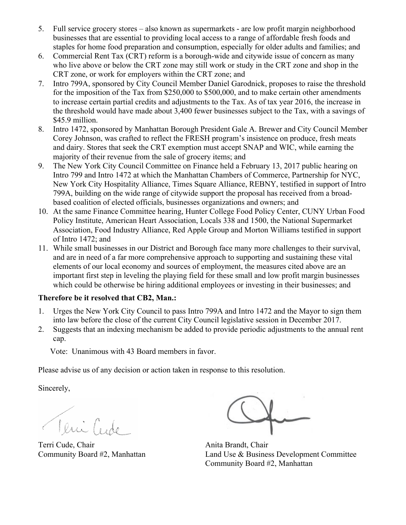- 5. Full service grocery stores also known as supermarkets are low profit margin neighborhood businesses that are essential to providing local access to a range of affordable fresh foods and staples for home food preparation and consumption, especially for older adults and families; and
- 6. Commercial Rent Tax (CRT) reform is a borough-wide and citywide issue of concern as many who live above or below the CRT zone may still work or study in the CRT zone and shop in the CRT zone, or work for employers within the CRT zone; and
- 7. Intro 799A, sponsored by City Council Member Daniel Garodnick, proposes to raise the threshold for the imposition of the Tax from \$250,000 to \$500,000, and to make certain other amendments to increase certain partial credits and adjustments to the Tax. As of tax year 2016, the increase in the threshold would have made about 3,400 fewer businesses subject to the Tax, with a savings of \$45.9 million.
- 8. Intro 1472, sponsored by Manhattan Borough President Gale A. Brewer and City Council Member Corey Johnson, was crafted to reflect the FRESH program's insistence on produce, fresh meats and dairy. Stores that seek the CRT exemption must accept SNAP and WIC, while earning the majority of their revenue from the sale of grocery items; and
- 9. The New York City Council Committee on Finance held a February 13, 2017 public hearing on Intro 799 and Intro 1472 at which the Manhattan Chambers of Commerce, Partnership for NYC, New York City Hospitality Alliance, Times Square Alliance, REBNY, testified in support of Intro 799A, building on the wide range of citywide support the proposal has received from a broadbased coalition of elected officials, businesses organizations and owners; and
- 10. At the same Finance Committee hearing, Hunter College Food Policy Center, CUNY Urban Food Policy Institute, American Heart Association, Locals 338 and 1500, the National Supermarket Association, Food Industry Alliance, Red Apple Group and Morton Williams testified in support of Intro 1472; and
- 11. While small businesses in our District and Borough face many more challenges to their survival, and are in need of a far more comprehensive approach to supporting and sustaining these vital elements of our local economy and sources of employment, the measures cited above are an important first step in leveling the playing field for these small and low profit margin businesses which could be otherwise be hiring additional employees or investing in their businesses; and

# **Therefore be it resolved that CB2, Man.:**

- 1. Urges the New York City Council to pass Intro 799A and Intro 1472 and the Mayor to sign them into law before the close of the current City Council legislative session in December 2017.
- 2. Suggests that an indexing mechanism be added to provide periodic adjustments to the annual rent cap.

Vote: Unanimous with 43 Board members in favor.

Please advise us of any decision or action taken in response to this resolution.

Sincerely,

Teni Cude

Terri Cude, Chair **Anita Brandt**, Chair

Community Board #2, Manhattan Land Use & Business Development Committee Community Board #2, Manhattan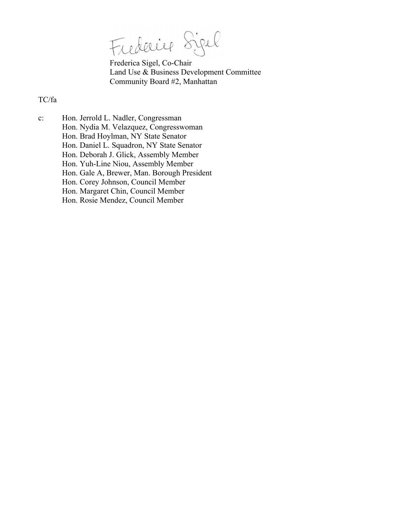Fiederice Sigel

Frederica Sigel, Co-Chair Land Use & Business Development Committee Community Board #2, Manhattan

## TC/fa

c: Hon. Jerrold L. Nadler, Congressman Hon. Nydia M. Velazquez, Congresswoman Hon. Brad Hoylman, NY State Senator Hon. Daniel L. Squadron, NY State Senator Hon. Deborah J. Glick, Assembly Member Hon. Yuh-Line Niou, Assembly Member Hon. Gale A, Brewer, Man. Borough President Hon. Corey Johnson, Council Member Hon. Margaret Chin, Council Member Hon. Rosie Mendez, Council Member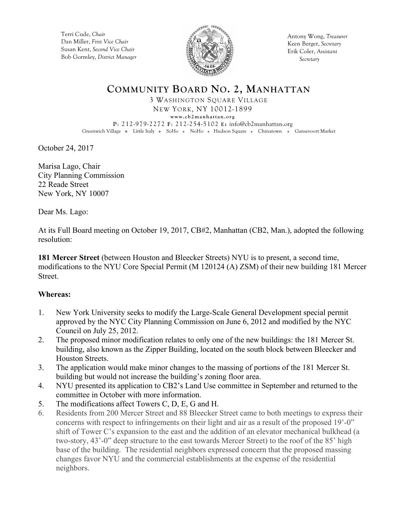Terri Cude, *Chair* Dan Miller, *First Vice Chair* Susan Kent, *Second Vice Chair* Bob Gormley, *District Manager*



Antony Wong, *Treasurer* Keen Berger, *Secretary* Erik Coler, *Assistant Secretary*

# **COMMUNITY BOARD NO. 2, MANHATTAN**

3 WASHINGTON SQUARE VILLAGE NEW YORK, NY 10012-1899

**www.cb2manhattan.org**

**P**: 212-979-2272 **F**: 212-254-5102 **E:** info@cb2manhattan.org Greenwich Village • Little Italy • SoHo • NoHo • Hudson Square • Chinatown • Gansevoort Market

October 24, 2017

Marisa Lago, Chair City Planning Commission 22 Reade Street New York, NY 10007

Dear Ms. Lago:

At its Full Board meeting on October 19, 2017, CB#2, Manhattan (CB2, Man.), adopted the following resolution:

**181 Mercer Street** (between Houston and Bleecker Streets) NYU is to present, a second time, modifications to the NYU Core Special Permit (M 120124 (A) ZSM) of their new building 181 Mercer Street.

### **Whereas:**

- 1. New York University seeks to modify the Large-Scale General Development special permit approved by the NYC City Planning Commission on June 6, 2012 and modified by the NYC Council on July 25, 2012.
- 2. The proposed minor modification relates to only one of the new buildings: the 181 Mercer St. building, also known as the Zipper Building, located on the south block between Bleecker and Houston Streets.
- 3. The application would make minor changes to the massing of portions of the 181 Mercer St. building but would not increase the building's zoning floor area.
- 4. NYU presented its application to CB2's Land Use committee in September and returned to the committee in October with more information.
- 5. The modifications affect Towers C, D, E, G and H.
- 6. Residents from 200 Mercer Street and 88 Bleecker Street came to both meetings to express their concerns with respect to infringements on their light and air as a result of the proposed 19'-0" shift of Tower C's expansion to the east and the addition of an elevator mechanical bulkhead (a two-story, 43'-0" deep structure to the east towards Mercer Street) to the roof of the 85' high base of the building. The residential neighbors expressed concern that the proposed massing changes favor NYU and the commercial establishments at the expense of the residential neighbors.